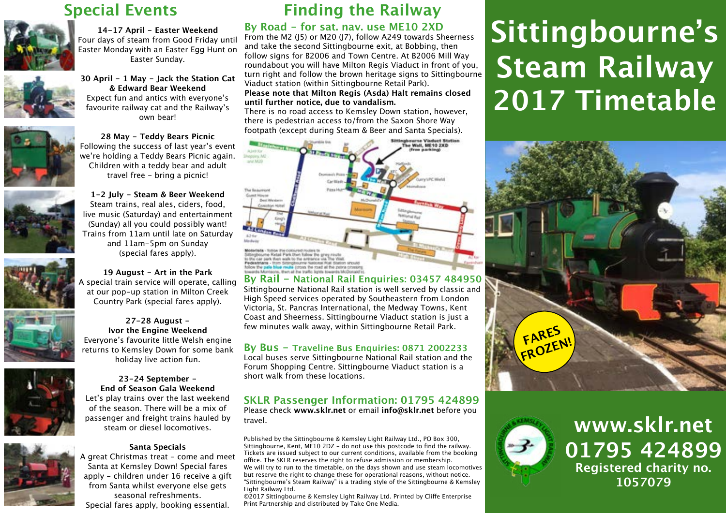## **Special Events**



**[14-17 April - Easter Weekend](http://www.sklr.net/timetable-fares/special-events/easter/)** [Four days of steam from Good Friday until](http://www.sklr.net/timetable-fares/special-events/easter/)  [Easter Monday with an Easter Egg Hunt on](http://www.sklr.net/timetable-fares/special-events/easter/)  [Easter Sunday.](http://www.sklr.net/timetable-fares/special-events/easter/)

**[30 April - 1 May - Jack the Station Cat](http://www.sklr.net/timetable-fares/special-events/jack/)  [& Edward Bear Weekend](http://www.sklr.net/timetable-fares/special-events/jack/)** [Expect fun and antics with everyone's](http://www.sklr.net/timetable-fares/special-events/jack/)  [favourite railway cat and the Railway's](http://www.sklr.net/timetable-fares/special-events/jack/)  [own bear!](http://www.sklr.net/timetable-fares/special-events/jack/)



**[28 May - Teddy Bears Picnic](http://www.sklr.net/timetable-fares/special-events/teddy-bears-picnic/)** [Following the success of last year's event](http://www.sklr.net/timetable-fares/special-events/teddy-bears-picnic/)  [we're holding a Teddy Bears Picnic again.](http://www.sklr.net/timetable-fares/special-events/teddy-bears-picnic/)  [Children with a teddy bear and adult](http://www.sklr.net/timetable-fares/special-events/teddy-bears-picnic/)  [travel free - bring a picnic!](http://www.sklr.net/timetable-fares/special-events/teddy-bears-picnic/)

**[1-2 July - Steam & Beer Weekend](http://www.sklr.net/timetable-fares/special-events/steam-beer/)** [Steam trains, real ales, ciders, food,](http://www.sklr.net/timetable-fares/special-events/steam-beer/)  [live music \(Saturday\) and entertainment](http://www.sklr.net/timetable-fares/special-events/steam-beer/)  [\(Sunday\) all you could possibly want!](http://www.sklr.net/timetable-fares/special-events/steam-beer/)  [Trains from 11am until late on Saturday](http://www.sklr.net/timetable-fares/special-events/steam-beer/)  [and 11am-5pm on Sunday](http://www.sklr.net/timetable-fares/special-events/steam-beer/)  [\(special fares apply\).](http://www.sklr.net/timetable-fares/special-events/steam-beer/)



**[19 August - Art in the Park](http://www.sklr.net/timetable-fares/special-events/art-in-the-park/)** [A special train service will operate, calling](http://www.sklr.net/timetable-fares/special-events/art-in-the-park/)  [at our pop-up station in Milton Creek](http://www.sklr.net/timetable-fares/special-events/art-in-the-park/)  [Country Park \(special fares apply\).](http://www.sklr.net/timetable-fares/special-events/art-in-the-park/)

**[27-28 August -](http://www.sklr.net/timetable-fares/special-events/ivor/)  [Ivor the Engine Weekend](http://www.sklr.net/timetable-fares/special-events/ivor/)** [Everyone's favourite little Welsh engine](http://www.sklr.net/timetable-fares/special-events/ivor/)  [returns to Kemsley Down for some bank](http://www.sklr.net/timetable-fares/special-events/ivor/)  [holiday live action fun.](http://www.sklr.net/timetable-fares/special-events/ivor/)

**[23-24 September -](http://www.sklr.net/timetable-fares/special-events/gala/)  [End of Season Gala Weekend](http://www.sklr.net/timetable-fares/special-events/gala/)** [Let's play trains over the last weekend](http://www.sklr.net/timetable-fares/special-events/gala/)  [of the season. There will be a mix of](http://www.sklr.net/timetable-fares/special-events/gala/) 





#### **[Santa Specials](http://www.sklr.net/timetable-fares/special-events/santa/)**

[steam or diesel locomotives.](http://www.sklr.net/timetable-fares/special-events/gala/)

areat Christmas treat - come and meet [Santa at Kemsley Down! Special fares](http://www.sklr.net/timetable-fares/special-events/santa/)  [apply - children under 16 receive a gift](http://www.sklr.net/timetable-fares/special-events/santa/)  [from Santa whilst everyone else gets](http://www.sklr.net/timetable-fares/special-events/santa/)  [seasonal refreshments.](http://www.sklr.net/timetable-fares/special-events/santa/) 

[Special fares apply, booking essential.](http://www.sklr.net/timetable-fares/special-events/santa/)

# **Finding the Railway**

#### **By Road - for sat. nav. use ME10 2XD**

From the M2 (J5) or M20 (J7), follow A249 towards Sheerness and take the second Sittingbourne exit, at Bobbing, then follow signs for B2006 and Town Centre. At B2006 Mill Way roundabout you will have Milton Regis Viaduct in front of you, turn right and follow the brown heritage signs to Sittingbourne Viaduct station (within Sittingbourne Retail Park). **Please note that Milton Regis (Asda) Halt remains closed until further notice, due to vandalism.**

There is no road access to Kemsley Down station, however, there is pedestrian access to/from the Saxon Shore Way footpath (except during Steam & Beer and Santa Specials).



Sittingbourne National Rail station is well served by classic and High Speed services operated by Southeastern from London Victoria, St. Pancras International, the Medway Towns, Kent Coast and Sheerness. Sittingbourne Viaduct station is just a few minutes walk away, within Sittingbourne Retail Park.

#### **By Bus - Traveline Bus Enquiries: 0871 2002233**

Local buses serve Sittingbourne National Rail station and the Forum Shopping Centre. Sittingbourne Viaduct station is a short walk from these locations.

### **SKLR Passenger Information: 01795 424899**

Please check **[www.sklr.net](http://www.sklr.net)** or email **[info@sklr.net](mailto:info%40sklr.net?subject=2017%20Timetable%20Leaflet)** before you travel.

Published by the Sittingbourne & Kemsley Light Railway Ltd., PO Box 300, Sittingbourne, Kent, ME10 2DZ - do not use this postcode to find the railway. Tickets are issued subject to our current conditions, available from the booking office. The SKLR reserves the right to refuse admission or membership. We will try to run to the timetable, on the days shown and use steam locomotives but reserve the right to change these for operational reasons, without notice. "Sittingbourne's Steam Railway" is a trading style of the Sittingbourne & Kemsley Light Railway Ltd.

©2017 Sittingbourne & Kemsley Light Railway Ltd. Printed by Cliffe Enterprise Print Partnership and distributed by Take One Media.

# **Sittingbourne's Steam Railway 2017 Timetable**





# **[www.sklr.net](http://www.sklr.net) 01795 424899 Registered charity no. 1057079**